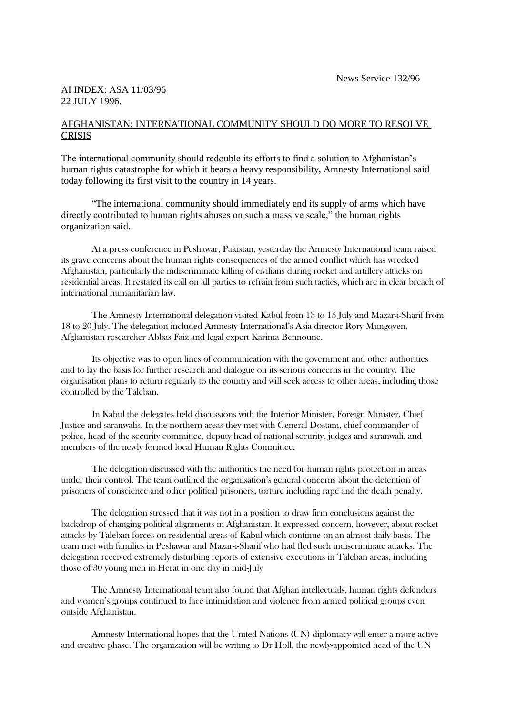## AI INDEX: ASA 11/03/96 22 JULY 1996.

## AFGHANISTAN: INTERNATIONAL COMMUNITY SHOULD DO MORE TO RESOLVE **CRISIS**

The international community should redouble its efforts to find a solution to Afghanistan's human rights catastrophe for which it bears a heavy responsibility, Amnesty International said today following its first visit to the country in 14 years.

"The international community should immediately end its supply of arms which have directly contributed to human rights abuses on such a massive scale," the human rights organization said.

At a press conference in Peshawar, Pakistan, yesterday the Amnesty International team raised its grave concerns about the human rights consequences of the armed conflict which has wrecked Afghanistan, particularly the indiscriminate killing of civilians during rocket and artillery attacks on residential areas. It restated its call on all parties to refrain from such tactics, which are in clear breach of international humanitarian law.

The Amnesty International delegation visited Kabul from 13 to 15 July and Mazar-i-Sharif from 18 to 20 July. The delegation included Amnesty International's Asia director Rory Mungoven, Afghanistan researcher Abbas Faiz and legal expert Karima Bennoune.

Its objective was to open lines of communication with the government and other authorities and to lay the basis for further research and dialogue on its serious concerns in the country. The organisation plans to return regularly to the country and will seek access to other areas, including those controlled by the Taleban.

In Kabul the delegates held discussions with the Interior Minister, Foreign Minister, Chief Justice and saranwalis. In the northern areas they met with General Dostam, chief commander of police, head of the security committee, deputy head of national security, judges and saranwali, and members of the newly formed local Human Rights Committee.

The delegation discussed with the authorities the need for human rights protection in areas under their control. The team outlined the organisation's general concerns about the detention of prisoners of conscience and other political prisoners, torture including rape and the death penalty.

The delegation stressed that it was not in a position to draw firm conclusions against the backdrop of changing political alignments in Afghanistan. It expressed concern, however, about rocket attacks by Taleban forces on residential areas of Kabul which continue on an almost daily basis. The team met with families in Peshawar and Mazar-i-Sharif who had fled such indiscriminate attacks. The delegation received extremely disturbing reports of extensive executions in Taleban areas, including those of 30 young men in Herat in one day in mid-July

The Amnesty International team also found that Afghan intellectuals, human rights defenders and women's groups continued to face intimidation and violence from armed political groups even outside Afghanistan.

Amnesty International hopes that the United Nations (UN) diplomacy will enter a more active and creative phase. The organization will be writing to Dr Holl, the newly-appointed head of the UN